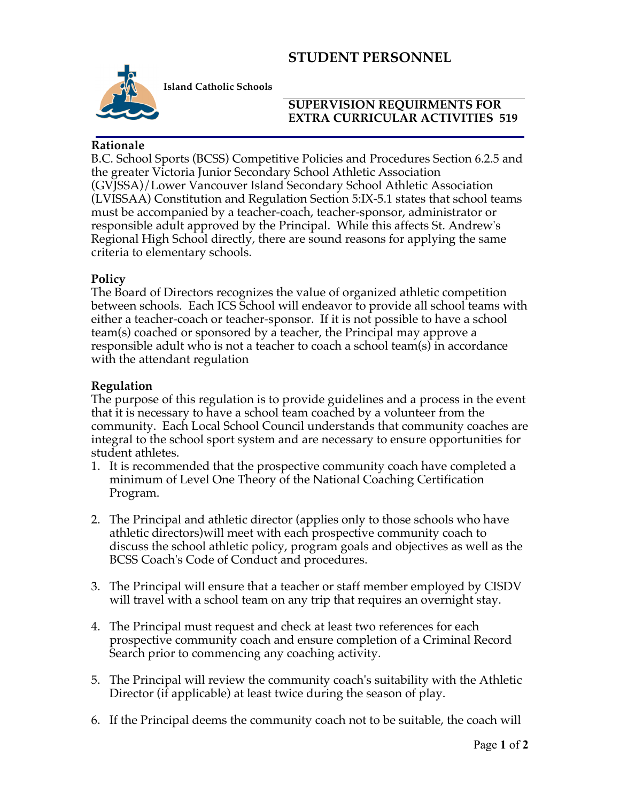# **STUDENT PERSONNEL**



**Island Catholic Schools** 

### **SUPERVISION REQUIRMENTS FOR EXTRA CURRICULAR ACTIVITIES 519**

### **Rationale**

B.C. School Sports (BCSS) Competitive Policies and Procedures Section 6.2.5 and the greater Victoria Junior Secondary School Athletic Association (GVJSSA)/Lower Vancouver Island Secondary School Athletic Association (LVISSAA) Constitution and Regulation Section 5:IX-5.1 states that school teams must be accompanied by a teacher-coach, teacher-sponsor, administrator or responsible adult approved by the Principal. While this affects St. Andrew's Regional High School directly, there are sound reasons for applying the same criteria to elementary schools.

### **Policy**

The Board of Directors recognizes the value of organized athletic competition between schools. Each ICS School will endeavor to provide all school teams with either a teacher-coach or teacher-sponsor. If it is not possible to have a school team(s) coached or sponsored by a teacher, the Principal may approve a responsible adult who is not a teacher to coach a school team(s) in accordance with the attendant regulation

### **Regulation**

The purpose of this regulation is to provide guidelines and a process in the event that it is necessary to have a school team coached by a volunteer from the community. Each Local School Council understands that community coaches are integral to the school sport system and are necessary to ensure opportunities for student athletes.

- 1. It is recommended that the prospective community coach have completed a minimum of Level One Theory of the National Coaching Certification Program.
- 2. The Principal and athletic director (applies only to those schools who have athletic directors)will meet with each prospective community coach to discuss the school athletic policy, program goals and objectives as well as the BCSS Coach's Code of Conduct and procedures.
- 3. The Principal will ensure that a teacher or staff member employed by CISDV will travel with a school team on any trip that requires an overnight stay.
- 4. The Principal must request and check at least two references for each prospective community coach and ensure completion of a Criminal Record Search prior to commencing any coaching activity.
- 5. The Principal will review the community coach's suitability with the Athletic Director (if applicable) at least twice during the season of play.
- 6. If the Principal deems the community coach not to be suitable, the coach will